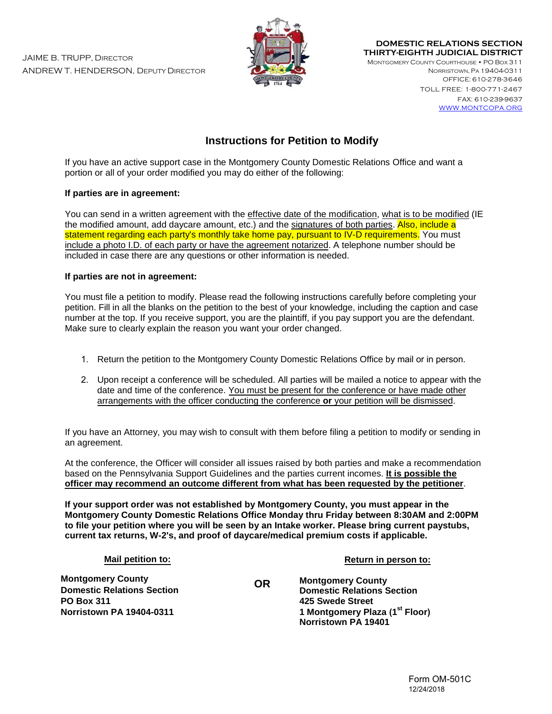JAIME B. TRUPP, DIRECTOR ANDREW T. HENDERSON, DEPUTY DIRECTOR



**DOMESTIC RELATIONS SECTION THIRTY-EIGHTH JUDICIAL DISTRICT** 

MONTGOMERY COUNTY COURTHOUSE • PO BOX 311 NORRISTOWN, PA 19404-0311 OFFICE: 610-278-3646

> TOLL FREE: 1-800-771-2467 FAX: 610-239-9637 WWW.MONTCOPA.ORG

# **Instructions for Petition to Modify**

If you have an active support case in the Montgomery County Domestic Relations Office and want a portion or all of your order modified you may do either of the following:

## **If parties are in agreement:**

You can send in a written agreement with the effective date of the modification, what is to be modified (IE the modified amount, add daycare amount, etc.) and the signatures of both parties. Also, include a statement regarding each party's monthly take home pay, pursuant to IV-D requirements. You must include a photo I.D. of each party or have the agreement notarized. A telephone number should be included in case there are any questions or other information is needed.

## **If parties are not in agreement:**

You must file a petition to modify. Please read the following instructions carefully before completing your petition. Fill in all the blanks on the petition to the best of your knowledge, including the caption and case number at the top. If you receive support, you are the plaintiff, if you pay support you are the defendant. Make sure to clearly explain the reason you want your order changed.

- 1. Return the petition to the Montgomery County Domestic Relations Office by mail or in person.
- 2. Upon receipt a conference will be scheduled. All parties will be mailed a notice to appear with the date and time of the conference. You must be present for the conference or have made other arrangements with the officer conducting the conference **or** your petition will be dismissed.

If you have an Attorney, you may wish to consult with them before filing a petition to modify or sending in an agreement.

At the conference, the Officer will consider all issues raised by both parties and make a recommendation based on the Pennsylvania Support Guidelines and the parties current incomes. **It is possible the officer may recommend an outcome different from what has been requested by the petitioner**.

**If your support order was not established by Montgomery County, you must appear in the Montgomery County Domestic Relations Office Monday thru Friday between 8:30AM and 2:00PM to file your petition where you will be seen by an Intake worker. Please bring current paystubs, current tax returns, W-2's, and proof of daycare/medical premium costs if applicable.**

**OR**

## **Mail petition to:**

**Montgomery County Domestic Relations Section PO Box 311 Norristown PA 19404-0311** 

**Return in person to:**

**Montgomery County Domestic Relations Section 425 Swede Street 1 Montgomery Plaza (1 st Floor) Norristown PA 19401**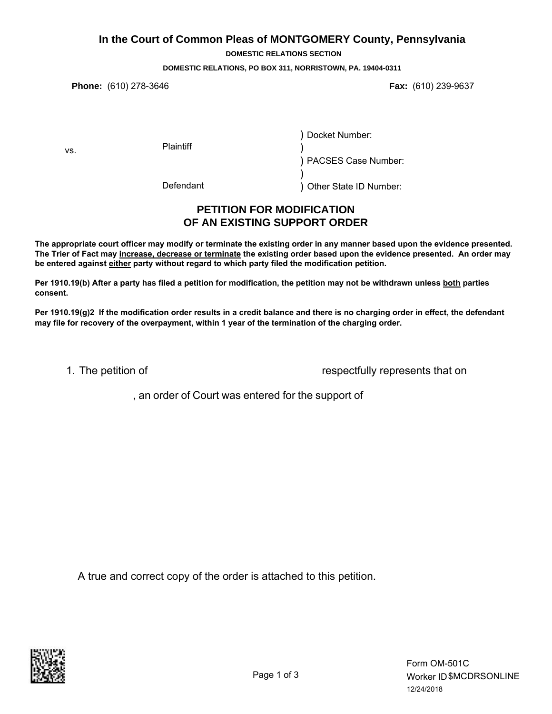## **In the Court of Common Pleas of MONTGOMERY County, Pennsylvania**

**DOMESTIC RELATIONS SECTION**

#### **DOMESTIC RELATIONS, PO BOX 311, NORRISTOWN, PA. 19404-0311**

**Phone:** (610) 278-3646 **Fax:** (610) 239-9637

vs.

**Plaintiff** 

) Docket Number:

) ) PACSES Case Number:

Defendant

) Other State ID Number:

# **PETITION FOR MODIFICATION OF AN EXISTING SUPPORT ORDER**

)

**The appropriate court officer may modify or terminate the existing order in any manner based upon the evidence presented. The Trier of Fact may increase, decrease or terminate the existing order based upon the evidence presented. An order may be entered against either party without regard to which party filed the modification petition.**

**Per 1910.19(b) After a party has filed a petition for modification, the petition may not be withdrawn unless both parties consent.**

**Per 1910.19(g)2 If the modification order results in a credit balance and there is no charging order in effect, the defendant may file for recovery of the overpayment, within 1 year of the termination of the charging order.**

1. The petition of

respectfully represents that on

, an order of Court was entered for the support of

A true and correct copy of the order is attached to this petition.

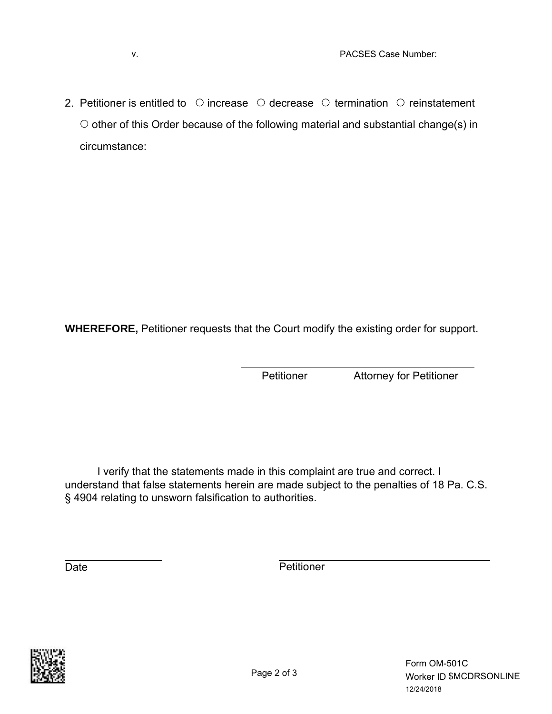2. Petitioner is entitled to  $\circ$  increase  $\circ$  decrease  $\circ$  termination  $\circ$  reinstatement  $\circ$  other of this Order because of the following material and substantial change(s) in circumstance:

**WHEREFORE,** Petitioner requests that the Court modify the existing order for support.

Petitioner Attorney for Petitioner

I verify that the statements made in this complaint are true and correct. I understand that false statements herein are made subject to the penalties of 18 Pa. C.S. § 4904 relating to unsworn falsification to authorities.

Date **Date** Petitioner